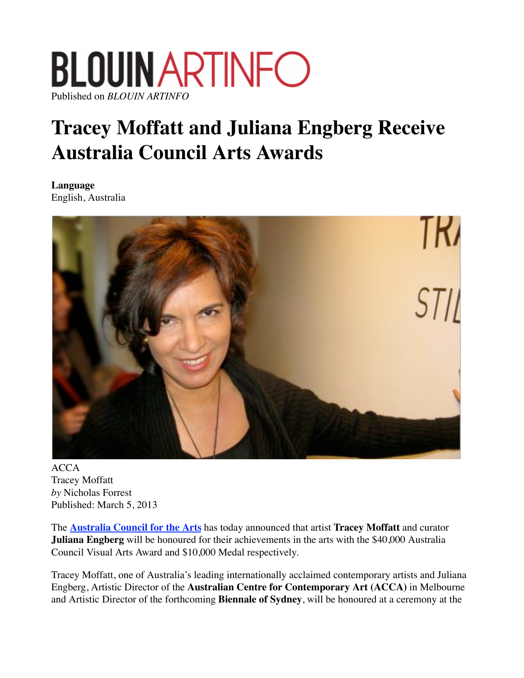## **BLOUIN ARTINFO** Published on *BLOUIN ARTINFO*

## **Tracey Moffatt and Juliana Engberg Receive Australia Council Arts Awards**

**Language** English, Australia



ACCA Tracey Moffatt *by* Nicholas Forrest Published: March 5, 2013

The **Australia Council for the Arts** has today announced that artist **Tracey Moffatt** and curator **Juliana Engberg** will be honoured for their achievements in the arts with the \$40,000 Australia Council Visual Arts Award and \$10,000 Medal respectively.

Tracey Moffatt, one of Australia's leading internationally acclaimed contemporary artists and Juliana Engberg, Artistic Director of the **Australian Centre for Contemporary Art (ACCA)** in Melbourne and Artistic Director of the forthcoming **Biennale of Sydney**, will be honoured at a ceremony at the